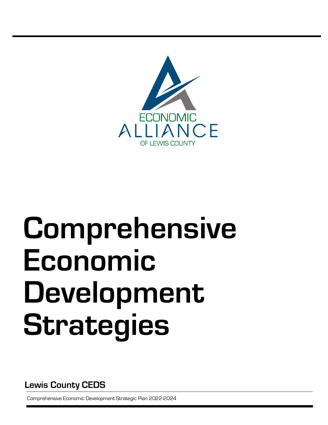

**COMPREHENSIVE ECONOMIC DEVELOPMENT STRATEGIES**

# **Comprehensive Economic Development Strategies**

**Lewis County CEDS**

Comprehensive Economic Development Strategic Plan 2022-2024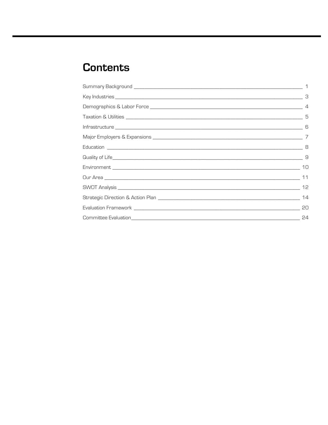# **Contents**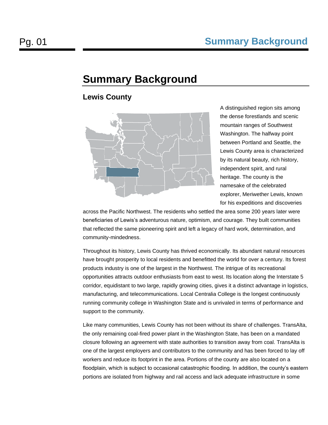# <span id="page-2-0"></span>**Summary Background**

# **Lewis County**



A distinguished region sits among the dense forestlands and scenic mountain ranges of Southwest Washington. The halfway point between Portland and Seattle, the Lewis County area is characterized by its natural beauty, rich history, independent spirit, and rural heritage. The county is the namesake of the celebrated explorer, Meriwether Lewis, known for his expeditions and discoveries

across the Pacific Northwest. The residents who settled the area some 200 years later were beneficiaries of Lewis's adventurous nature, optimism, and courage. They built communities that reflected the same pioneering spirit and left a legacy of hard work, determination, and community-mindedness.

Throughout its history, Lewis County has thrived economically. Its abundant natural resources have brought prosperity to local residents and benefitted the world for over a century. Its forest products industry is one of the largest in the Northwest. The intrigue of its recreational opportunities attracts outdoor enthusiasts from east to west. Its location along the Interstate 5 corridor, equidistant to two large, rapidly growing cities, gives it a distinct advantage in logistics, manufacturing, and telecommunications. Local Centralia College is the longest continuously running community college in Washington State and is unrivaled in terms of performance and support to the community.

Like many communities, Lewis County has not been without its share of challenges. TransAlta, the only remaining coal-fired power plant in the Washington State, has been on a mandated closure following an agreement with state authorities to transition away from coal. TransAlta is one of the largest employers and contributors to the community and has been forced to lay off workers and reduce its footprint in the area. Portions of the county are also located on a floodplain, which is subject to occasional catastrophic flooding. In addition, the county's eastern portions are isolated from highway and rail access and lack adequate infrastructure in some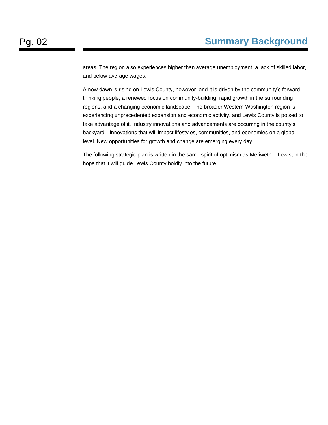areas. The region also experiences higher than average unemployment, a lack of skilled labor, and below average wages.

A new dawn is rising on Lewis County, however, and it is driven by the community's forwardthinking people, a renewed focus on community-building, rapid growth in the surrounding regions, and a changing economic landscape. The broader Western Washington region is experiencing unprecedented expansion and economic activity, and Lewis County is poised to take advantage of it. Industry innovations and advancements are occurring in the county's backyard—innovations that will impact lifestyles, communities, and economies on a global level. New opportunities for growth and change are emerging every day.

The following strategic plan is written in the same spirit of optimism as Meriwether Lewis, in the hope that it will guide Lewis County boldly into the future.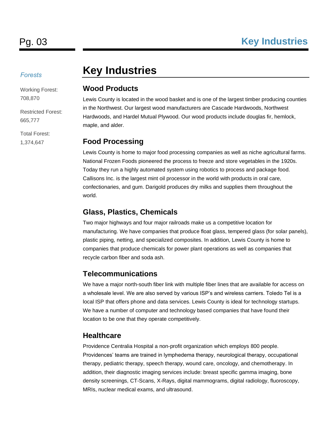# <span id="page-4-0"></span>**Key Industries**

### **Wood Products**

Lewis County is located in the wood basket and is one of the largest timber producing counties in the Northwest. Our largest wood manufacturers are Cascade Hardwoods, Northwest Hardwoods, and Hardel Mutual Plywood. Our wood products include douglas fir, hemlock, maple, and alder.

# **Food Processing**

Lewis County is home to major food processing companies as well as niche agricultural farms. National Frozen Foods pioneered the process to freeze and store vegetables in the 1920s. Today they run a highly automated system using robotics to process and package food. Callisons Inc. is the largest mint oil processor in the world with products in oral care, confectionaries, and gum. Darigold produces dry milks and supplies them throughout the world.

# **Glass, Plastics, Chemicals**

Two major highways and four major railroads make us a competitive location for manufacturing. We have companies that produce float glass, tempered glass (for solar panels), plastic piping, netting, and specialized composites. In addition, Lewis County is home to companies that produce chemicals for power plant operations as well as companies that recycle carbon fiber and soda ash.

# **Telecommunications**

We have a major north-south fiber link with multiple fiber lines that are available for access on a wholesale level. We are also served by various ISP's and wireless carriers. Toledo Tel is a local ISP that offers phone and data services. Lewis County is ideal for technology startups. We have a number of computer and technology based companies that have found their location to be one that they operate competitively.

# **Healthcare**

Providence Centralia Hospital a non-profit organization which employs 800 people. Providences' teams are trained in lymphedema therapy, neurological therapy, occupational therapy, pediatric therapy, speech therapy, wound care, oncology, and chemotherapy. In addition, their diagnostic imaging services include: breast specific gamma imaging, bone density screenings, CT-Scans, X-Rays, digital mammograms, digital radiology, fluoroscopy, MRIs, nuclear medical exams, and ultrasound.

# *Forests*

Working Forest: 708,870

Restricted Forest: 665,777

Total Forest: 1,374,647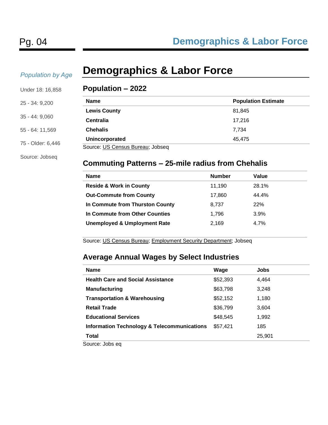# Pg. 04 **Demographics & Labor Force**

# <span id="page-5-0"></span>**Demographics & Labor Force**

*Population by Age*

Under 18: 16,858

25 - 34: 9,200

35 - 44: 9,060

55 - 64: 11,569

### **Population – 2022**

| <b>Name</b>                      | <b>Population Estimate</b> |
|----------------------------------|----------------------------|
| <b>Lewis County</b>              | 81,845                     |
| <b>Centralia</b>                 | 17.216                     |
| <b>Chehalis</b>                  | 7.734                      |
| Unincorporated                   | 45.475                     |
| Source: US Census Bureau; Jobseq |                            |

Source: Jobseq

75 - Older: 6,446

### **Commuting Patterns – 25-mile radius from Chehalis**

| <b>Name</b>                             | <b>Number</b> | Value      |
|-----------------------------------------|---------------|------------|
| <b>Reside &amp; Work in County</b>      | 11.190        | 28.1%      |
| <b>Out-Commute from County</b>          | 17,860        | 44.4%      |
| In Commute from Thurston County         | 8,737         | <b>22%</b> |
| In Commute from Other Counties          | 1.796         | 3.9%       |
| <b>Unemployed &amp; Umployment Rate</b> | 2.169         | 4.7%       |

Source: [US Census Bureau;](http://www.census.gov/hhes/commuting/) [Employment Security Department;](https://fortress.wa.gov/esd/employmentdata/reports-publications/regional-reports/labor-area-summaries) Jobseq

## **Average Annual Wages by Select Industries**

| <b>Name</b>                                            | Wage     | <b>Jobs</b> |
|--------------------------------------------------------|----------|-------------|
| <b>Health Care and Social Assistance</b>               | \$52,393 | 4,464       |
| <b>Manufacturing</b>                                   | \$63,798 | 3,248       |
| <b>Transportation &amp; Warehousing</b>                | \$52,152 | 1,180       |
| <b>Retail Trade</b>                                    | \$36,799 | 3,604       |
| <b>Educational Services</b>                            | \$48,545 | 1,992       |
| <b>Information Technology &amp; Telecommunications</b> | \$57,421 | 185         |
| <b>Total</b>                                           |          | 25,901      |

Source: Jobs eq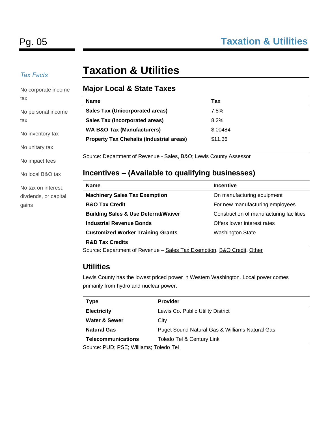# <span id="page-6-0"></span>**Taxation & Utilities**

# *Tax Facts*

gains

# No corporate income tax No personal income tax No inventory tax No unitary tax No impact fees No local B&O tax No tax on interest, divdends, or capital

# **Major Local & State Taxes**

| <b>Name</b>                                     | Tax      |
|-------------------------------------------------|----------|
| <b>Sales Tax (Unicorporated areas)</b>          | 7.8%     |
| Sales Tax (Incorporated areas)                  | 8.2%     |
| <b>WA B&amp;O Tax (Manufacturers)</b>           | \$.00484 |
| <b>Property Tax Chehalis (Industrial areas)</b> | \$11.36  |
|                                                 |          |

Source: Department of Revenue - [Sales,](http://dor.wa.gov/Content/GetAFormOrPublication/FormBySubject/forms_LSUAlpha.aspx) [B&O;](http://dor.wa.gov/Content/FindTaxesAndRates/BAndOTax/BandOrates.aspx) Lewis County Assessor

# **Incentives – (Available to qualifying businesses)**

| <b>Name</b>                                                            | <b>Incentive</b>                         |  |
|------------------------------------------------------------------------|------------------------------------------|--|
| <b>Machinery Sales Tax Exemption</b>                                   | On manufacturing equipment               |  |
| <b>B&amp;O Tax Credit</b>                                              | For new manufacturing employees          |  |
| <b>Building Sales &amp; Use Deferral/Waiver</b>                        | Construction of manufacturing facilities |  |
| <b>Industrial Revenue Bonds</b>                                        | Offers lower interest rates              |  |
| <b>Customized Worker Training Grants</b>                               | <b>Washington State</b>                  |  |
| <b>R&amp;D Tax Credits</b>                                             |                                          |  |
| Source: Department of Revenue - Sales Tax Exemption, B&O Credit, Other |                                          |  |

### **Utilities**

Lewis County has the lowest priced power in Western Washington. Local power comes primarily from hydro and nuclear power.

| <b>Type</b>                            | <b>Provider</b>                                |
|----------------------------------------|------------------------------------------------|
| <b>Electricity</b>                     | Lewis Co. Public Utility District              |
| <b>Water &amp; Sewer</b>               | City                                           |
| <b>Natural Gas</b>                     | Puget Sound Natural Gas & Williams Natural Gas |
| <b>Telecommunications</b>              | Toledo Tel & Century Link                      |
| Source: PUD; PSE; Williams; Toledo Tel |                                                |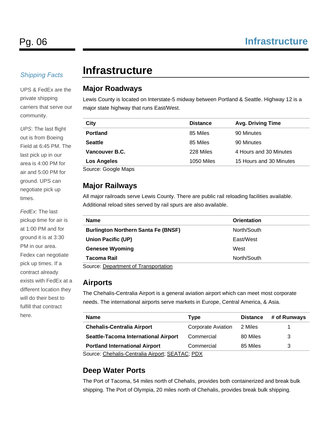# *Shipping Facts*

UPS & FedEx are the private shipping carriers that serve our community.

*UPS*: The last flight out is from Boeing Field at 6:45 PM. The last pick up in our area is 4:00 PM for air and 5:00 PM for ground. UPS can negotiate pick up times.

*FedEx*: The last pickup time for air is at 1:00 PM and for ground it is at 3:30 PM in our area. Fedex can negotiate pick up times. If a contract already exists with FedEx at a different location they will do their best to fulfill that contract here.

# <span id="page-7-0"></span>**Infrastructure**

### **Major Roadways**

Lewis County is located on Interstate-5 midway between Portland & Seattle. Highway 12 is a major state highway that runs East/West.

| City               | <b>Distance</b> | <b>Avg. Driving Time</b> |
|--------------------|-----------------|--------------------------|
| <b>Portland</b>    | 85 Miles        | 90 Minutes               |
| <b>Seattle</b>     | 85 Miles        | 90 Minutes               |
| Vancouver B.C.     | 228 Miles       | 4 Hours and 30 Minutes   |
| <b>Los Angeles</b> | 1050 Miles      | 15 Hours and 30 Minutes  |
|                    |                 |                          |

Source: Google Maps

### **Major Railways**

All major railroads serve Lewis County. There are public rail reloading facilities available. Additional reload sites served by rail spurs are also available.

| <b>Name</b>                                | <b>Orientation</b> |
|--------------------------------------------|--------------------|
| <b>Burlington Northern Santa Fe (BNSF)</b> | North/South        |
| <b>Union Pacific (UP)</b>                  | East/West          |
| <b>Genesee Wyoming</b>                     | West               |
| Tacoma Rail                                | North/South        |
| Source: Department of Transportation       |                    |

### **Airports**

The Chehalis-Centralia Airport is a general aviation airport which can meet most corporate needs. The international airports serve markets in Europe, Central America, & Asia.

| <b>Corporate Aviation</b> | 2 Miles                                         |   |
|---------------------------|-------------------------------------------------|---|
| Commercial                | 80 Miles                                        | 3 |
| Commercial                | 85 Miles                                        | 3 |
|                           | Source: Chebalis-Centralia Airport: SEATAC: PDX |   |

<u>alia Airport; [SEATAC;](https://www.portseattle.org/Sea-Tac/Pages/default.aspx) [PDX](http://www.flypdx.com/PDX)</u>

# **Deep Water Ports**

The [Port of Tacoma,](http://portoftacoma.com/) 54 miles north of Chehalis, provides both containerized and break bulk shipping. The [Port of Olympia,](http://www.portolympia.com/9/Seaport) 20 miles north of Chehalis, provides break bulk shipping.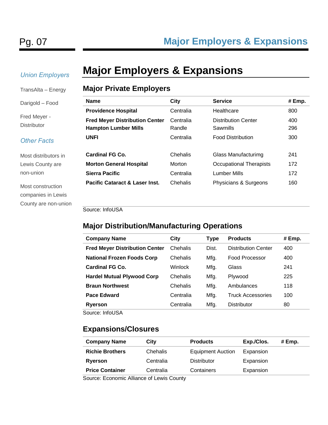# <span id="page-8-0"></span>**Major Employers & Expansions**

### *Union Employers*

TransAlta – Energy

Darigold – Food

Fred Meyer - **Distributor** 

*Other Facts*

non-union

Most distributors in Lewis County are

Most construction companies in Lewis County are non-union **Major Private Employers**

| <b>Name</b>                           | City      | <b>Service</b>                 | # Emp. |
|---------------------------------------|-----------|--------------------------------|--------|
| <b>Providence Hospital</b>            | Centralia | Healthcare                     | 800    |
| <b>Fred Meyer Distribution Center</b> | Centralia | Distribution Center            | 400    |
| <b>Hampton Lumber Mills</b>           | Randle    | Sawmills                       | 296    |
| <b>UNFI</b>                           | Centralia | <b>Food Distribution</b>       | 300    |
|                                       |           |                                |        |
| <b>Cardinal FG Co.</b>                | Chehalis  | Glass Manufacturimg            | 241    |
| <b>Morton General Hospital</b>        | Morton    | <b>Occupational Therapists</b> | 172    |
| <b>Sierra Pacific</b>                 | Centralia | Lumber Mills                   | 172    |
| Pacific Cataract & Laser Inst.        | Chehalis  | Physicians & Surgeons          | 160    |

Source: InfoUSA

## **Major Distribution/Manufacturing Operations**

| <b>Company Name</b>                   | City      | Type  | <b>Products</b>            | # Emp. |
|---------------------------------------|-----------|-------|----------------------------|--------|
| <b>Fred Meyer Distribution Center</b> | Chehalis  | Dist. | <b>Distribution Center</b> | 400    |
| <b>National Frozen Foods Corp</b>     | Chehalis  | Mfg.  | Food Processor             | 400    |
| <b>Cardinal FG Co.</b>                | Winlock   | Mfg.  | Glass                      | 241    |
| <b>Hardel Mutual Plywood Corp</b>     | Chehalis  | Mfg.  | Plywood                    | 225    |
| <b>Braun Northwest</b>                | Chehalis  | Mfg.  | Ambulances                 | 118    |
| <b>Pace Edward</b>                    | Centralia | Mfg.  | <b>Truck Accessories</b>   | 100    |
| Ryerson                               | Centralia | Mfg.  | <b>Distributor</b>         | 80     |
| $\sim$ I.C.IIOA                       |           |       |                            |        |

Source: InfoUSA

# **Expansions/Closures**

| <b>Company Name</b>    | Citv      | <b>Products</b>          | Exp./Clos. | # Emp. |
|------------------------|-----------|--------------------------|------------|--------|
| <b>Richie Brothers</b> | Chehalis  | <b>Equipment Auction</b> | Expansion  |        |
| Ryerson                | Centralia | <b>Distributor</b>       | Expansion  |        |
| <b>Price Container</b> | Centralia | Containers               | Expansion  |        |

Source: Economic Alliance of Lewis County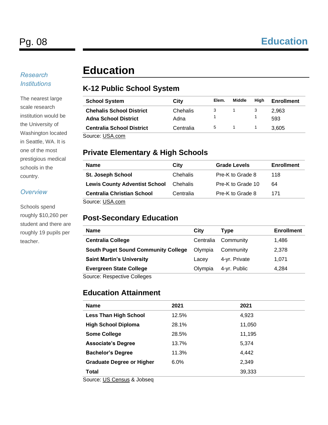## *Research Institutions*

The nearest large scale research institution would be the University of Washington located in Seattle, WA. It is one of the most prestigious medical schools in the country.

### *Overview*

Schools spend roughly \$10,260 per student and there are roughly 19 pupils per teacher.

# <span id="page-9-0"></span>**Education**

# **K-12 Public School System**

| <b>School System</b>             | City      | Elem. | Middle | Hiah | <b>Enrollment</b> |
|----------------------------------|-----------|-------|--------|------|-------------------|
| <b>Chehalis School District</b>  | Chehalis  | 3     |        |      | 2.963             |
| <b>Adna School District</b>      | Adna      |       |        |      | 593               |
| <b>Centralia School District</b> | Centralia | 5     |        |      | 3.605             |
|                                  |           |       |        |      |                   |

Source: [USA.com](http://www.usa.com/lewis-county-wa-school-district.htm)

# **Private Elementary & High Schools**

| <b>Name</b>                          | City      | <b>Grade Levels</b> | <b>Enrollment</b> |
|--------------------------------------|-----------|---------------------|-------------------|
| <b>St. Joseph School</b>             | Chehalis  | Pre-K to Grade 8    | 118               |
| <b>Lewis County Adventist School</b> | Chehalis  | Pre-K to Grade 10   | 64                |
| <b>Centralia Christian School</b>    | Centralia | Pre-K to Grade 8    | 171               |
| Source: USA.com                      |           |                     |                   |

# **Post-Secondary Education**

| <b>Name</b>                                | City      | Type          | <b>Enrollment</b> |
|--------------------------------------------|-----------|---------------|-------------------|
| <b>Centralia College</b>                   | Centralia | Community     | 1.486             |
| <b>South Puget Sound Community College</b> | Olympia   | Community     | 2,378             |
| <b>Saint Martin's University</b>           | Lacey     | 4-yr. Private | 1,071             |
| <b>Evergreen State College</b>             | Olympia   | 4-yr. Public  | 4.284             |

Source: Respective Colleges

# **Education Attainment**

| <b>Name</b>                      | 2021    | 2021   |
|----------------------------------|---------|--------|
| <b>Less Than High School</b>     | 12.5%   | 4,923  |
| <b>High School Diploma</b>       | 28.1%   | 11,050 |
| <b>Some College</b>              | 28.5%   | 11,195 |
| <b>Associate's Degree</b>        | 13.7%   | 5.374  |
| <b>Bachelor's Degree</b>         | 11.3%   | 4,442  |
| <b>Graduate Degree or Higher</b> | $6.0\%$ | 2.349  |
| <b>Total</b>                     |         | 39,333 |

Source: [US Census](http://quickfacts.census.gov/qfd/states/53/53041.html) & Jobseq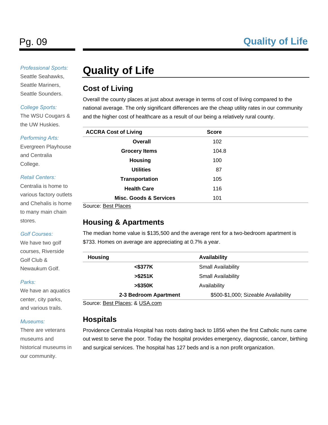#### *Professional Sports:*

Seattle Seahawks, Seattle Mariners, Seattle Sounders.

#### *College Sports:*

The WSU Cougars & the UW Huskies.

#### *Performing Arts:*

Evergreen Playhouse and Centralia College.

#### *Retail Centers:*

Centralia is home to various factory outlets and Chehalis is home to many main chain stores.

#### *Golf Courses:*

We have two golf courses, Riverside Golf Club & Newaukum Golf.

#### *Parks:*

We have an aquatics center, city parks, and various trails.

#### *Museums:*

There are veterans museums and historical museums in our community.

# <span id="page-10-0"></span>**Quality of Life**

## **Cost of Living**

Overall the county places at just about average in terms of cost of living compared to the national average. The only significant differences are the cheap utility rates in our community and the higher cost of healthcare as a result of our being a relatively rural county.

| <b>ACCRA Cost of Living</b>       | <b>Score</b> |  |
|-----------------------------------|--------------|--|
| Overall                           | 102          |  |
| <b>Grocery Items</b>              | 104.8        |  |
| <b>Housing</b>                    | 100          |  |
| <b>Utilities</b>                  | 87           |  |
| <b>Transportation</b>             | 105          |  |
| <b>Health Care</b>                | 116          |  |
| <b>Misc. Goods &amp; Services</b> | 101          |  |
| Course: Doot Dispose              |              |  |

Source: [Best Places](http://www.bestplaces.net/cost_of_living/city/washington/centralia)

# **Housing & Apartments**

The median home value is \$135,500 and the average rent for a two-bedroom apartment is \$733. Homes on average are appreciating at 0.7% a year.

| <b>Housing</b>                 | <b>Availability</b>                  |
|--------------------------------|--------------------------------------|
| $<$ \$377K                     | <b>Small Availability</b>            |
| > \$251K                       | Small Availability                   |
| > \$350K                       | Availability                         |
| 2-3 Bedroom Apartment          | \$500-\$1,000; Sizeable Availability |
| Source: Best Places; & USA.com |                                      |

### **Hospitals**

Providence Centralia Hospital has roots dating back to 1856 when the first Catholic nuns came out west to serve the poor. Today the hospital provides emergency, diagnostic, cancer, birthing and surgical services. The hospital has 127 beds and is a non profit organization.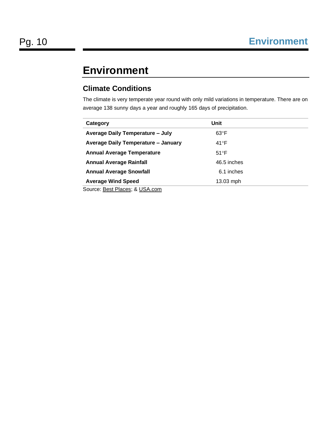# <span id="page-11-0"></span>**Environment**

# **Climate Conditions**

The climate is very temperate year round with only mild variations in temperature. There are on average 138 sunny days a year and roughly 165 days of precipitation.

| Category                                | Unit           |  |
|-----------------------------------------|----------------|--|
| <b>Average Daily Temperature - July</b> | $63^{\circ}$ F |  |
| Average Daily Temperature - January     | $41^{\circ}F$  |  |
| <b>Annual Average Temperature</b>       | $51^{\circ}$ F |  |
| <b>Annual Average Rainfall</b>          | 46.5 inches    |  |
| <b>Annual Average Snowfall</b>          | 6.1 inches     |  |
| <b>Average Wind Speed</b>               | $13.03$ mph    |  |
| Source: Best Places; & USA.com          |                |  |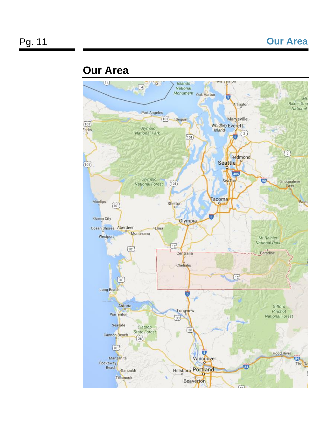# <span id="page-12-0"></span>**Our Area**

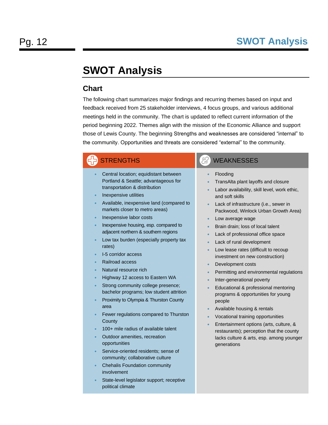# <span id="page-13-0"></span>**SWOT Analysis**

### **Chart**

The following chart summarizes major findings and recurring themes based on input and feedback received from 25 stakeholder interviews, 4 focus groups, and various additional meetings held in the community. The chart is updated to reflect current information of the period beginning 2022. Themes align with the mission of the Economic Alliance and support those of Lewis County. The beginning Strengths and weaknesses are considered "internal" to the community. Opportunities and threats are considered "external" to the community.

- Central location; equidistant between Portland & Seattle; advantageous for transportation & distribution
- Inexpensive utilities
- Available, inexpensive land (compared to markets closer to metro areas)
- Inexpensive labor costs
- Inexpensive housing, esp. compared to adjacent northern & southern regions
- Low tax burden (especially property tax rates)
- I-5 corridor access
- Railroad access
- Natural resource rich
- Highway 12 access to Eastern WA
- Strong community college presence; bachelor programs; low student attrition
- Proximity to Olympia & Thurston County area
- Fewer regulations compared to Thurston **County**
- 100+ mile radius of available talent
- Outdoor amenities, recreation opportunities
- Service-oriented residents; sense of community; collaborative culture
- Chehalis Foundation community involvement
- State-level legislator support; receptive political climate

# STRENGTHS WEAKNESSES

- **Flooding**
- TransAlta plant layoffs and closure
- Labor availability, skill level, work ethic, and soft skills
- Lack of infrastructure (i.e., sewer in Packwood, Winlock Urban Growth Area)
- Low average wage
- Brain drain; loss of local talent
- Lack of professional office space
- Lack of rural development
- Low lease rates (difficult to recoup investment on new construction)
- Development costs
- Permitting and environmental regulations
- Inter-generational poverty
- Educational & professional mentoring programs & opportunities for young people
- Available housing & rentals
- Vocational training opportunities
- Entertainment options (arts, culture, & restaurants); perception that the county lacks culture & arts, esp. among younger generations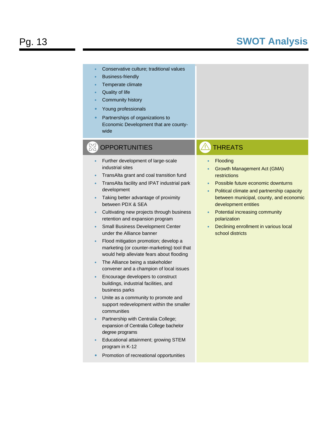- Conservative culture; traditional values
- Business-friendly
- Temperate climate
- Quality of life
- Community history
- Young professionals
- Partnerships of organizations to Economic Development that are countywide

### OPPORTUNITIES AND THREATS

- Further development of large-scale industrial sites
- TransAlta grant and coal transition fund
- TransAlta facility and IPAT industrial park development
- Taking better advantage of proximity between PDX & SEA
- Cultivating new projects through business retention and expansion program
- Small Business Development Center under the Alliance banner
- Flood mitigation promotion; develop a marketing (or counter-marketing) tool that would help alleviate fears about flooding
- The Alliance being a stakeholder convener and a champion of local issues
- Encourage developers to construct buildings, industrial facilities, and business parks
- Unite as a community to promote and support redevelopment within the smaller communities
- Partnership with Centralia College; expansion of Centralia College bachelor degree programs
- Educational attainment; growing STEM program in K-12
- Promotion of recreational opportunities

- Flooding
- Growth Management Act (GMA) restrictions
- Possible future economic downturns
- Political climate and partnership capacity between municipal, county, and economic development entities
- Potential increasing community polarization
- Declining enrollment in various local school districts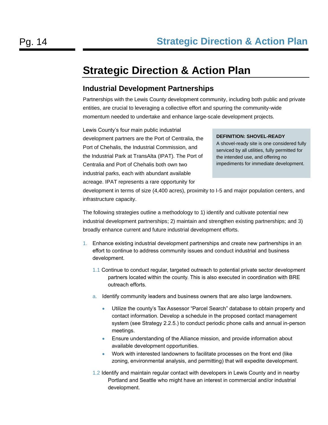# <span id="page-15-0"></span>**Strategic Direction & Action Plan**

### **Industrial Development Partnerships**

Partnerships with the Lewis County development community, including both public and private entities, are crucial to leveraging a collective effort and spurring the community-wide momentum needed to undertake and enhance large-scale development projects.

Lewis County's four main public industrial development partners are the Port of Centralia, the Port of Chehalis, the Industrial Commission, and the Industrial Park at TransAlta (IPAT). The Port of Centralia and Port of Chehalis both own two industrial parks, each with abundant available acreage. IPAT represents a rare opportunity for

#### **DEFINITION: SHOVEL-READY**

A shovel-ready site is one considered fully serviced by all utilities, fully permitted for the intended use, and offering no impediments for immediate development.

development in terms of size (4,400 acres), proximity to I-5 and major population centers, and infrastructure capacity.

The following strategies outline a methodology to 1) identify and cultivate potential new industrial development partnerships; 2) maintain and strengthen existing partnerships; and 3) broadly enhance current and future industrial development efforts.

- 1. Enhance existing industrial development partnerships and create new partnerships in an effort to continue to address community issues and conduct industrial and business development.
	- 1.1 Continue to conduct regular, targeted outreach to potential private sector development partners located within the county. This is also executed in coordination with BRE outreach efforts.
	- a. Identify community leaders and business owners that are also large landowners.
		- Utilize the county's Tax Assessor "Parcel Search" database to obtain property and contact information. Develop a schedule in the proposed contact management system (see Strategy 2.2.5.) to conduct periodic phone calls and annual in-person meetings.
		- Ensure understanding of the Alliance mission, and provide information about available development opportunities.
		- Work with interested landowners to facilitate processes on the front end (like zoning, environmental analysis, and permitting) that will expedite development.
	- 1.2 Identify and maintain regular contact with developers in Lewis County and in nearby Portland and Seattle who might have an interest in commercial and/or industrial development.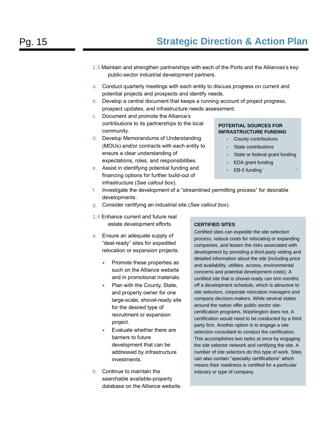- 1.3 Maintain and strengthen partnerships with each of the Ports and the Alliances's key public-sector industrial development partners.
- a. Conduct quarterly meetings with each entity to discuss progress on current and potential projects and prospects and identify needs.
- b. Develop a central document that keeps a running account of project progress, prospect updates, and infrastructure needs assessment.
- c. Document and promote the Alliance's contributions to its partnerships to the local community.
- d. Develop Memorandums of Understanding (MOUs) and/or contracts with each entity to ensure a clear understanding of expectations, roles, and responsibilities.
- e. Assist in identifying potential funding and financing options for further build-out of infrastructure (*See callout box*).

#### **POTENTIAL SOURCES FOR INFRASTRUCTURE FUNDING**

- County contributions
- State contributions
- State or federal grant funding
- EDA grant funding
- EB-5 funding
- f. Investigate the development of a "streamlined permitting process" for desirable developments.
- g. Consider certifying an industrial site (*See callout box*).
- 1.4 Enhance current and future real estate development efforts.
- a. Ensure an adequate supply of "deal-ready" sites for expedited relocation or expansion projects.
	- Promote these properties as such on the Alliance website and in promotional materials.
	- Plan with the County, State, and property owner for one large-scale, shovel-ready site for the desired type of recruitment or expansion project.
	- Evaluate whether there are barriers to future development that can be addressed by infrastructure investments.
- b. Continue to maintain the searchable available-property database on the Alliance website.

#### **CERTIFIED SITES**

Certified sites can expedite the site selection process, reduce costs for relocating or expanding companies, and lessen the risks associated with development by providing a third-party vetting and detailed information about the site (including price and availability, utilities, access, environmental concerns and potential development costs). A certified site that is shovel-ready can trim months off a development schedule, which is attractive to site selectors, corporate relocation managers and company decision-makers. While several states around the nation offer public sector sitecertification programs, Washington does not. A certification would need to be conducted by a third party firm. Another option is to engage a site selection consultant to conduct the certification. This accomplishes two tasks at once by engaging the site selector network and certifying the site. A number of site selectors do this type of work. Sites can also contain "specialty certifications" which means their readiness is certified for a particular industry or type of company.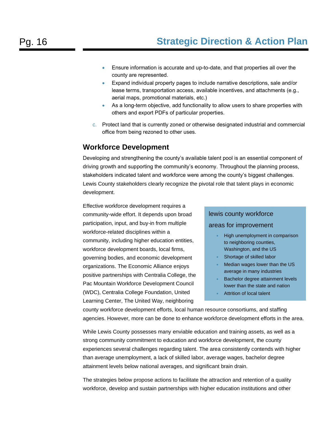- Ensure information is accurate and up-to-date, and that properties all over the county are represented.
- Expand individual property pages to include narrative descriptions, sale and/or lease terms, transportation access, available incentives, and attachments (e.g., aerial maps, promotional materials, etc.)
- As a long-term objective, add functionality to allow users to share properties with others and export PDFs of particular properties.
- c. Protect land that is currently zoned or otherwise designated industrial and commercial office from being rezoned to other uses.

### **Workforce Development**

Developing and strengthening the county's available talent pool is an essential component of driving growth and supporting the community's economy. Throughout the planning process, stakeholders indicated talent and workforce were among the county's biggest challenges. Lewis County stakeholders clearly recognize the pivotal role that talent plays in economic development.

Effective workforce development requires a community-wide effort. It depends upon broad participation, input, and buy-in from multiple workforce-related disciplines within a community, including higher education entities, workforce development boards, local firms, governing bodies, and economic development organizations. The Economic Alliance enjoys positive partnerships with Centralia College, the Pac Mountain Workforce Development Council (WDC), Centralia College Foundation, United Learning Center, The United Way, neighboring

#### lewis county workforce

#### areas for improvement

- High unemployment in comparison to neighboring counties, Washington, and the US
- Shortage of skilled labor
- Median wages lower than the US average in many industries
- Bachelor degree attainment levels lower than the state and nation
	- Attrition of local talent

county workforce development efforts, local human resource consortiums, and staffing agencies. However, more can be done to enhance workforce development efforts in the area.

While Lewis County possesses many enviable education and training assets, as well as a strong community commitment to education and workforce development, the county experiences several challenges regarding talent. The area consistently contends with higher than average unemployment, a lack of skilled labor, average wages, bachelor degree attainment levels below national averages, and significant brain drain.

The strategies below propose actions to facilitate the attraction and retention of a quality workforce, develop and sustain partnerships with higher education institutions and other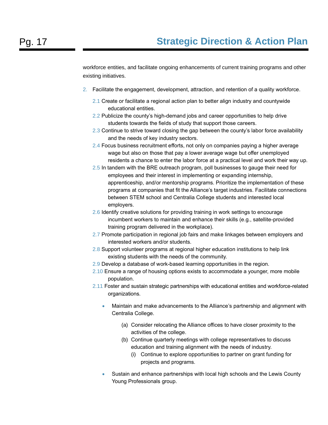workforce entities, and facilitate ongoing enhancements of current training programs and other existing initiatives.

- 2. Facilitate the engagement, development, attraction, and retention of a quality workforce.
	- 2.1 Create or facilitate a regional action plan to better align industry and countywide educational entities.
	- 2.2 Publicize the county's high-demand jobs and career opportunities to help drive students towards the fields of study that support those careers.
	- 2.3 Continue to strive toward closing the gap between the county's labor force availability and the needs of key industry sectors.
	- 2.4 Focus business recruitment efforts, not only on companies paying a higher average wage but also on those that pay a lower average wage but offer unemployed residents a chance to enter the labor force at a practical level and work their way up.
	- 2.5 In tandem with the BRE outreach program, poll businesses to gauge their need for employees and their interest in implementing or expanding internship, apprenticeship, and/or mentorship programs. Prioritize the implementation of these programs at companies that fit the Alliance's target industries. Facilitate connections between STEM school and Centralia College students and interested local employers.
	- 2.6 Identify creative solutions for providing training in work settings to encourage incumbent workers to maintain and enhance their skills (e.g., satellite-provided training program delivered in the workplace).
	- 2.7 Promote participation in regional job fairs and make linkages between employers and interested workers and/or students.
	- 2.8 Support volunteer programs at regional higher education institutions to help link existing students with the needs of the community.
	- 2.9 Develop a database of work-based learning opportunities in the region.
	- 2.10 Ensure a range of housing options exists to accommodate a younger, more mobile population.
	- 2.11 Foster and sustain strategic partnerships with educational entities and workforce-related organizations.
		- Maintain and make advancements to the Alliance's partnership and alignment with Centralia College.
			- (a) Consider relocating the Alliance offices to have closer proximity to the activities of the college.
			- (b) Continue quarterly meetings with college representatives to discuss education and training alignment with the needs of industry.
				- (i) Continue to explore opportunities to partner on grant funding for projects and programs.
		- Sustain and enhance partnerships with local high schools and the Lewis County Young Professionals group.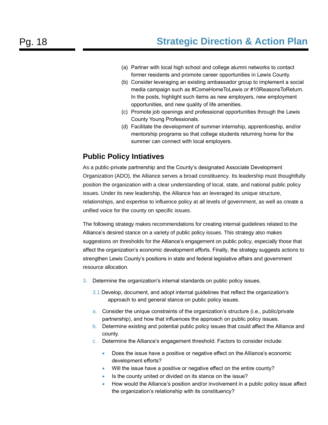- (a) Partner with local high school and college alumni networks to contact former residents and promote career opportunities in Lewis County.
- (b) Consider leveraging an existing ambassador group to implement a social media campaign such as #ComeHomeToLewis or #10ReasonsToReturn. In the posts, highlight such items as new employers, new employment opportunities, and new quality of life amenities.
- (c) Promote job openings and professional opportunities through the Lewis County Young Professionals.
- (d) Facilitate the development of summer internship, apprenticeship, and/or mentorship programs so that college students returning home for the summer can connect with local employers.

# **Public Policy Intiatives**

As a public-private partnership and the County's designated Associate Development Organization (ADO), the Alliance serves a broad constituency. Its leadership must thoughtfully position the organization with a clear understanding of local, state, and national public policy issues. Under its new leadership, the Alliance has an leveraged its unique structure, relationships, and expertise to influence policy at all levels of government, as well as create a unified voice for the county on specific issues.

The following strategy makes recommendations for creating internal guidelines related to the Alliance's desired stance on a variety of public policy issues. This strategy also makes suggestions on thresholds for the Alliance's engagement on public policy, especially those that affect the organization's economic development efforts. Finally, the strategy suggests actions to strengthen Lewis County's positions in state and federal legislative affairs and government resource allocation.

- 3. Determine the organization's internal standards on public policy issues.
	- 3.1 Develop, document, and adopt internal guidelines that reflect the organization's approach to and general stance on public policy issues.
	- a. Consider the unique constraints of the organization's structure (i.e., public/private partnership), and how that influences the approach on public policy issues.
	- b. Determine existing and potential public policy issues that could affect the Alliance and county.
	- c. Determine the Alliance's engagement threshold. Factors to consider include:
		- Does the issue have a positive or negative effect on the Alliance's economic development efforts?
		- Will the issue have a positive or negative effect on the entire county?
		- Is the county united or divided on its stance on the issue?
		- How would the Alliance's position and/or involvement in a public policy issue affect the organization's relationship with its constituency?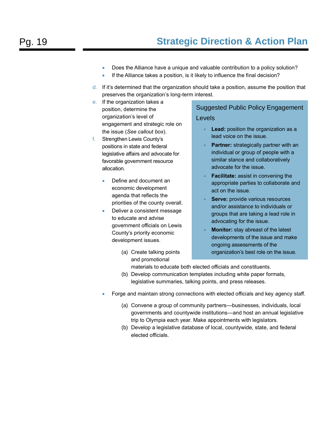- Does the Alliance have a unique and valuable contribution to a policy solution?
- If the Alliance takes a position, is it likely to influence the final decision?
- d. If it's determined that the organization should take a position, assume the position that preserves the organization's long-term interest.
- e. If the organization takes a position, determine the organization's level of engagement and strategic role on the issue (*See callout box*).
- f. Strengthen Lewis County's positions in state and federal legislative affairs and advocate for favorable government resource allocation.
	- Define and document an economic development agenda that reflects the priorities of the county overall.
	- Deliver a consistent message to educate and advise government officials on Lewis County's priority economic development issues.
		- (a) Create talking points and promotional

### Suggested Public Policy Engagement Levels

- **Lead:** position the organization as a lead voice on the issue.
- **Partner:** strategically partner with an individual or group of people with a similar stance and collaboratively advocate for the issue.
- **Facilitate:** assist in convening the appropriate parties to collaborate and act on the issue.
- **Serve:** provide various resources and/or assistance to individuals or groups that are taking a lead role in advocating for the issue.
- **Monitor:** stay abreast of the latest developments of the issue and make ongoing assessments of the organization's best role on the issue.

materials to educate both elected officials and constituents.

- (b) Develop communication templates including white paper formats, legislative summaries, talking points, and press releases.
- Forge and maintain strong connections with elected officials and key agency staff.
	- (a) Convene a group of community partners—businesses, individuals, local governments and countywide institutions—and host an annual legislative trip to Olympia each year. Make appointments with legislators.
	- (b) Develop a legislative database of local, countywide, state, and federal elected officials.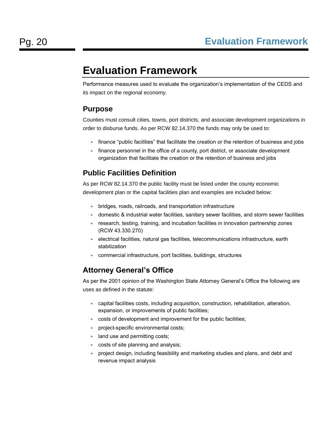# <span id="page-21-0"></span>**Evaluation Framework**

Performance measures used to evaluate the organization's implementation of the CEDS and its impact on the regional economy.

# **Purpose**

Counties must consult cities, towns, port districts, and associate development organizations in order to disburse funds. As per RCW 82.14.370 the funds may only be used to:

- finance "public facilities" that facilitate the creation or the retention of business and jobs
- finance personnel in the office of a county, port district, or associate development organization that facilitate the creation or the retention of business and jobs

# **Public Facilities Definition**

As per RCW 82.14.370 the public facility must be listed under the county economic development plan or the capital facilities plan and examples are included below:

- bridges, roads, railroads, and transportation infrastructure
- domestic & industrial water facilities, sanitary sewer facilities, and storm sewer facilities
- research, testing, training, and incubation facilities in innovation partnership zones (RCW 43.330.270)
- electrical facilities, natural gas facilities, telecommunications infrastructure, earth stabilization
- commercial infrastructure, port facilities, buildings, structures

# **Attorney General's Office**

As per the 2001 opinion of the Washington State Attorney General's Office the following are uses as defined in the statute:

- capital facilities costs, including acquisition, construction, rehabilitation, alteration, expansion, or improvements of public facilities;
- costs of development and improvement for the public facilities;
- project-specific environmental costs;
- land use and permitting costs;
- costs of site planning and analysis;
- project design, including feasibility and marketing studies and plans, and debt and revenue impact analysis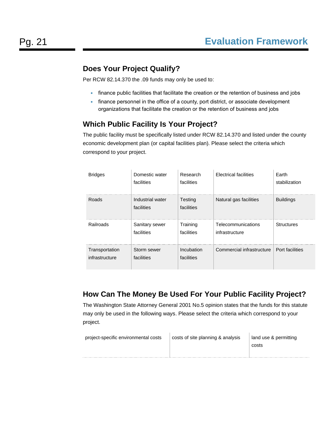# **Does Your Project Qualify?**

Per RCW 82.14.370 the .09 funds may only be used to:

- finance public facilities that facilitate the creation or the retention of business and jobs
- finance personnel in the office of a county, port district, or associate development organizations that facilitate the creation or the retention of business and jobs

# **Which Public Facility Is Your Project?**

The public facility must be specifically listed under RCW 82.14.370 and listed under the county economic development plan (or capital facilities plan). Please select the criteria which correspond to your project.

| <b>Bridges</b>                   | Domestic water<br>facilities   | Research<br>facilities   | Electrical facilities                | Earth<br>stabilization |
|----------------------------------|--------------------------------|--------------------------|--------------------------------------|------------------------|
| Roads                            | Industrial water<br>facilities | Testing<br>facilities    | Natural gas facilities               | <b>Buildings</b>       |
| Railroads                        | Sanitary sewer<br>facilities   | Training<br>facilities   | Telecommunications<br>infrastructure | <b>Structures</b>      |
| Transportation<br>infrastructure | Storm sewer<br>facilities      | Incubation<br>facilities | Commercial infrastructure            | Port facilities        |

# **How Can The Money Be Used For Your Public Facility Project?**

The Washington State Attorney General 2001 No.5 opinion states that the funds for this statute may only be used in the following ways. Please select the criteria which correspond to your project.

| project-specific environmental costs | costs of site planning & analysis | land use & permitting |
|--------------------------------------|-----------------------------------|-----------------------|
|                                      |                                   | costs                 |
|                                      |                                   |                       |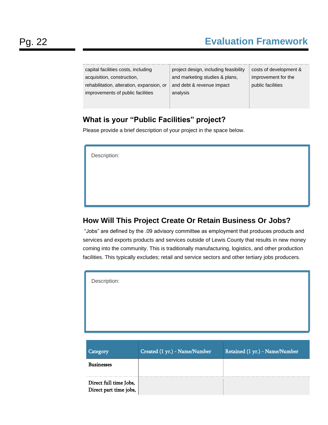| capital facilities costs, including       | project design, including feasibility | costs of development & |
|-------------------------------------------|---------------------------------------|------------------------|
| acquisition, construction,                | and marketing studies & plans,        | improvement for the    |
| rehabilitation, alteration, expansion, or | and debt & revenue impact             | public facilities      |
| improvements of public facilities         | analysis                              |                        |
|                                           |                                       |                        |

# **What is your "Public Facilities" project?**

Please provide a brief description of your project in the space below.

Description:

# **How Will This Project Create Or Retain Business Or Jobs?**

"Jobs" are defined by the .09 advisory committee as employment that produces products and services and exports products and services outside of Lewis County that results in new money coming into the community. This is traditionally manufacturing, logistics, and other production facilities. This typically excludes; retail and service sectors and other tertiary jobs producers.

| Description: |                               |                                |
|--------------|-------------------------------|--------------------------------|
| Category     | Created (1 yr.) - Name/Number | Retained (1 yr.) - Name/Number |

| <b>Category</b>                                  | Created (1 yr.) - Name/Number | Retained (1 yr.) - Name/Number |
|--------------------------------------------------|-------------------------------|--------------------------------|
| <b>Businesses</b>                                |                               |                                |
| Direct full time Jobs,<br>Direct part time jobs, |                               |                                |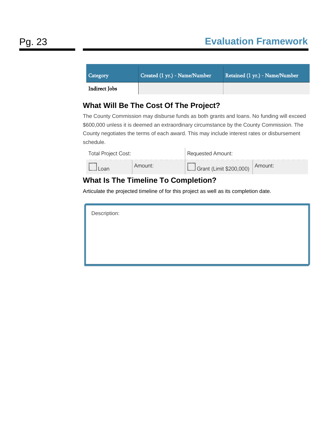| Category      | Created (1 yr.) - Name/Number | Retained (1 yr.) - Name/Number |
|---------------|-------------------------------|--------------------------------|
| Indirect Jobs |                               |                                |

# **What Will Be The Cost Of The Project?**

The County Commission may disburse funds as both grants and loans. No funding will exceed \$600,000 unless it is deemed an extraordinary circumstance by the County Commission. The County negotiates the terms of each award. This may include interest rates or disbursement schedule.

| Total Project Cost: |  | Requested Amount:       |         |  |
|---------------------|--|-------------------------|---------|--|
|                     |  | Grant (Limit \$200,000) | Amount: |  |

# **What Is The Timeline To Completion?**

Articulate the projected timeline of for this project as well as its completion date.

Description: